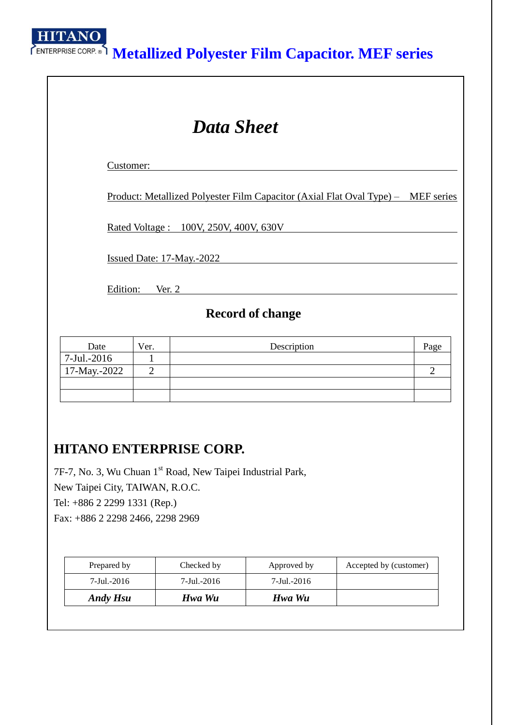**HITANO** 

# **Metallized Polyester Film Capacitor. MEF series**

| <b>Data Sheet</b>           |                                |                                                                                         |                |  |  |  |
|-----------------------------|--------------------------------|-----------------------------------------------------------------------------------------|----------------|--|--|--|
| Customer:                   |                                |                                                                                         |                |  |  |  |
|                             |                                | <u>Product: Metallized Polyester Film Capacitor (Axial Flat Oval Type) – MEF series</u> |                |  |  |  |
|                             |                                | <u>Rated Voltage: 100V, 250V, 400V, 630V</u>                                            |                |  |  |  |
|                             |                                | Issued Date: 17-May.-2022                                                               |                |  |  |  |
| Edition:                    | Ver. $2$                       |                                                                                         |                |  |  |  |
|                             |                                | <b>Record of change</b>                                                                 |                |  |  |  |
| Date                        | Ver.                           | Description                                                                             | Page           |  |  |  |
| 7-Jul.-2016<br>17-May.-2022 | $\mathbf{1}$<br>$\overline{2}$ |                                                                                         | $\overline{2}$ |  |  |  |
|                             |                                |                                                                                         |                |  |  |  |

## **HITANO ENTERPRISE CORP.**

7F-7, No. 3, Wu Chuan 1st Road, New Taipei Industrial Park, New Taipei City, TAIWAN, R.O.C. Tel: +886 2 2299 1331 (Rep.) Fax: +886 2 2298 2466, 2298 2969

| Prepared by     | Checked by  | Approved by | Accepted by (customer) |
|-----------------|-------------|-------------|------------------------|
| 7-Jul.-2016     | 7-Jul.-2016 | 7-Jul.-2016 |                        |
| <b>Andy Hsu</b> | Hwa Wu      | Hwa Wu      |                        |